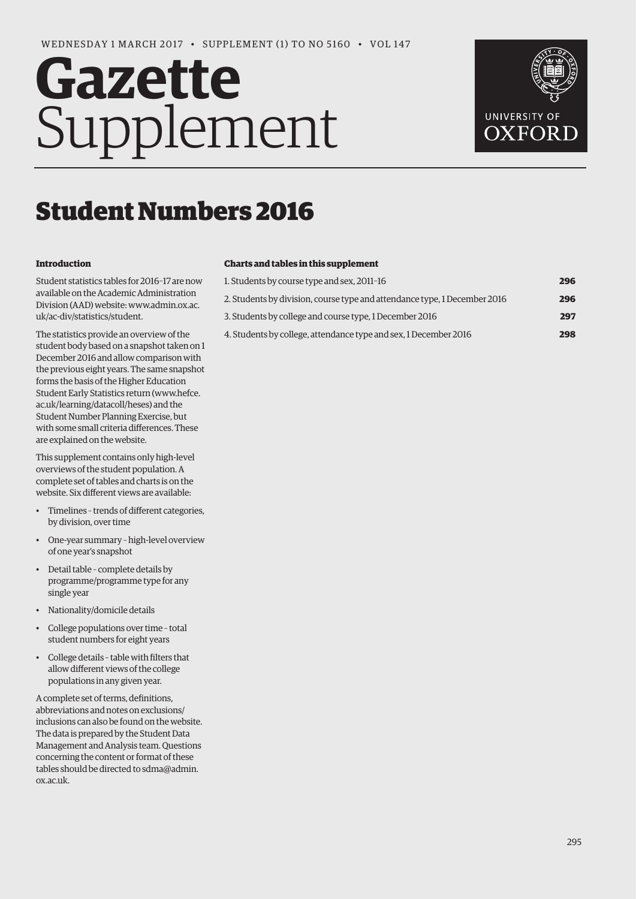# **Gazette** Supplement



## Student Numbers 2016

#### **Introduction**

Student statistics tables for 2016–17 are now available on the Academic Administration [Division \(AAD\) website: www.admin.ox.ac.](www.admin.ox.ac.uk/ac-div/statistics/student)  uk/ac-div/statistics/student.

The statistics provide an overview of the student body based on a snapshot taken on 1 December 2016 and allow comparison with the previous eight years. The same snapshot forms the basis of the Higher Education Student Early Statistics return ([www.hefce.](http://www.hefce.ac.uk/learning/datacoll/heses)  [ac.uk/learning/datacoll/heses\) an](http://www.hefce.ac.uk/learning/datacoll/heses)d the Student Number Planning Exercise, but with some small criteria differences. These are explained on the website.

This supplement contains only high-level overviews of the student population. A complete set of tables and charts is on the website. Six different views are available:

- Timelines trends of different categories, by division, over time
- One-year summary high-level overview of one year's snapshot
- Detail table complete details by programme/programme type for any single year
- Nationality/domicile details
- College populations over time total student numbers for eight years
- College details table with filters that allow different views of the college populations in any given year.

A complete set of terms, definitions, abbreviations and notes on exclusions/ inclusions can also be found on the website. The data is prepared by the Student Data Management and Analysis team. Questions concerning the content or format of these [tables should be directed to sdma@admin.](mailto:sdma@admin.ox.ac.uk)  ox.ac.uk.

#### **Charts and tables in this supplement**

| 1. Students by course type and sex, 2011-16                               | 296 |
|---------------------------------------------------------------------------|-----|
| 2. Students by division, course type and attendance type, 1 December 2016 | 296 |
| 3. Students by college and course type, 1 December 2016                   | 297 |
| 4. Students by college, attendance type and sex, 1 December 2016          | 298 |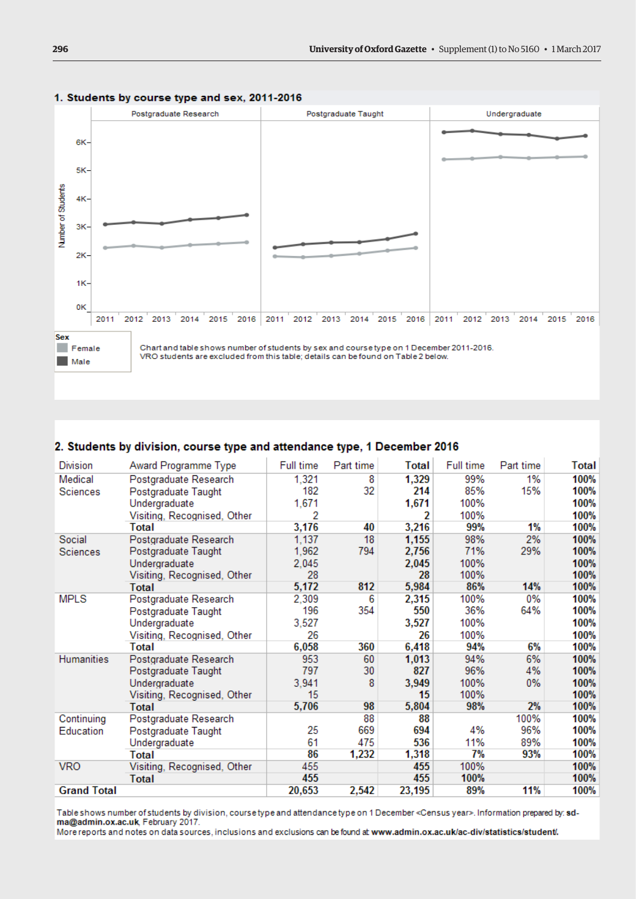

#### <span id="page-1-0"></span>1. Students by course type and sex, 2011-2016

#### 2. Students by division, course type and attendance type, 1 December 2016

| <b>Division</b>    | Award Programme Type        | Full time | Part time | Total  | Full time | Part time | <b>Total</b> |
|--------------------|-----------------------------|-----------|-----------|--------|-----------|-----------|--------------|
| Medical            | Postgraduate Research       | 1,321     | 8         | 1,329  | 99%       | 1%        | 100%         |
| Sciences           | Postgraduate Taught         | 182       | 32        | 214    | 85%       | 15%       | 100%         |
|                    | Undergraduate               | 1,671     |           | 1,671  | 100%      |           | 100%         |
|                    | Visiting, Recognised, Other | 2         |           | 2      | 100%      |           | 100%         |
|                    | Total                       | 3,176     | 40        | 3,216  | 99%       | 1%        | 100%         |
| Social             | Postgraduate Research       | 1,137     | 18        | 1,155  | 98%       | 2%        | 100%         |
| Sciences           | Postgraduate Taught         | 1,962     | 794       | 2,756  | 71%       | 29%       | 100%         |
|                    | Undergraduate               | 2,045     |           | 2,045  | 100%      |           | 100%         |
|                    | Visiting, Recognised, Other | 28        |           | 28     | 100%      |           | 100%         |
|                    | <b>Total</b>                | 5,172     | 812       | 5,984  | 86%       | 14%       | 100%         |
| <b>MPLS</b>        | Postgraduate Research       | 2,309     | 6         | 2,315  | 100%      | 0%        | 100%         |
|                    | Postgraduate Taught         | 196       | 354       | 550    | 36%       | 64%       | 100%         |
|                    | Undergraduate               | 3,527     |           | 3,527  | 100%      |           | 100%         |
|                    | Visiting, Recognised, Other | 26        |           | 26     | 100%      |           | 100%         |
|                    | Total                       | 6,058     | 360       | 6,418  | 94%       | 6%        | 100%         |
| Humanities         | Postgraduate Research       | 953       | 60        | 1,013  | 94%       | 6%        | 100%         |
|                    | Postgraduate Taught         | 797       | 30        | 827    | 96%       | 4%        | 100%         |
|                    | Undergraduate               | 3,941     | 8         | 3,949  | 100%      | $0\%$     | 100%         |
|                    | Visiting, Recognised, Other | 15        |           | 15     | 100%      |           | 100%         |
|                    | <b>Total</b>                | 5,706     | 98        | 5,804  | 98%       | 2%        | 100%         |
| Continuing         | Postgraduate Research       |           | 88        | 88     |           | 100%      | 100%         |
| Education          | Postgraduate Taught         | 25        | 669       | 694    | 4%        | 96%       | 100%         |
|                    | Undergraduate               | 61        | 475       | 536    | 11%       | 89%       | 100%         |
|                    | Total                       | 86        | 1,232     | 1,318  | 7%        | 93%       | 100%         |
| <b>VRO</b>         | Visiting, Recognised, Other | 455       |           | 455    | 100%      |           | 100%         |
|                    | Total                       | 455       |           | 455    | 100%      |           | 100%         |
| <b>Grand Total</b> |                             | 20,653    | 2,542     | 23,195 | 89%       | 11%       | 100%         |

Table shows number of students by division, course type and attendance type on 1 December <Census year>. Information prepared by: sdma@admin.ox.ac.uk, February 2017.

More reports and notes on data sources, inclusions and exclusions can be found at www.admin.ox.ac.uk/ac-div/statistics/student/.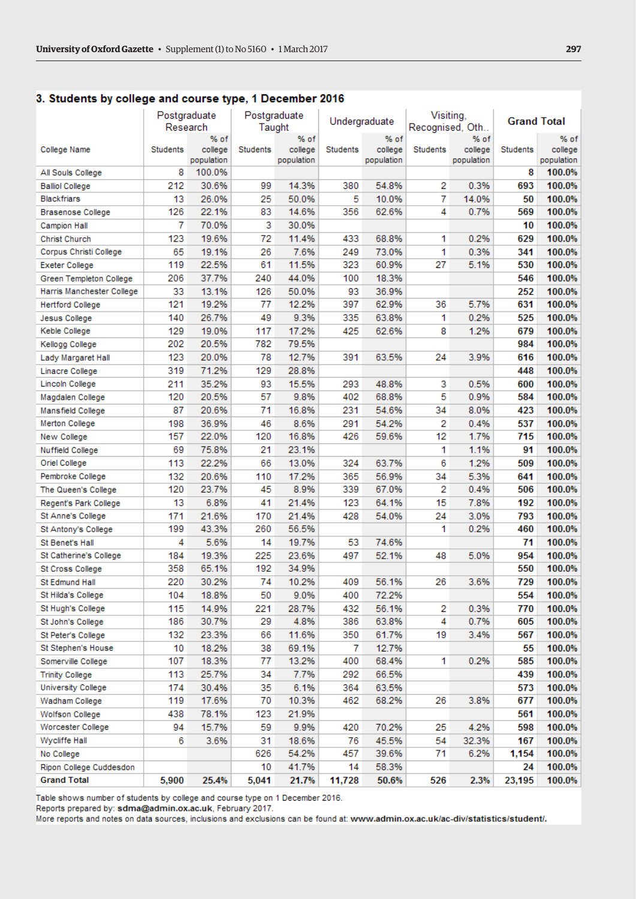#### <span id="page-2-0"></span>3. Students by college and course type, 1 December 2016

|                           | Postgraduate    |                       |                 | Postgraduate          | Undergraduate |                       | Visiting,       |                       |          | <b>Grand Total</b>    |
|---------------------------|-----------------|-----------------------|-----------------|-----------------------|---------------|-----------------------|-----------------|-----------------------|----------|-----------------------|
|                           |                 | Research              |                 | Taught                |               |                       | Recognised, Oth |                       |          |                       |
|                           |                 | % of                  |                 | % of                  |               | % of                  |                 | % of                  |          | % of                  |
| College Name              | <b>Students</b> | college<br>population | <b>Students</b> | college<br>population | Students      | college<br>population | <b>Students</b> | college<br>population | Students | college<br>population |
| All Souls College         | 8               | 100.0%                |                 |                       |               |                       |                 |                       | 8        | 100.0%                |
| <b>Balliol College</b>    | 212             | 30.6%                 | 99              | 14.3%                 | 380           | 54.8%                 | 2               | 0.3%                  | 693      | 100.0%                |
| <b>Blackfriars</b>        | 13              | 26.0%                 | 25              | 50.0%                 | 5             | 10.0%                 | 7               | 14.0%                 | 50       | 100.0%                |
| <b>Brasenose College</b>  | 126             | 22.1%                 | 83              | 14.6%                 | 356           | 62.6%                 | 4               | 0.7%                  | 569      | 100.0%                |
| <b>Campion Hall</b>       | 7               | 70.0%                 | 3               | 30.0%                 |               |                       |                 |                       | 10       | 100.0%                |
| <b>Christ Church</b>      | 123             | 19.6%                 | 72              | 11.4%                 | 433           | 68.8%                 | 1               | 0.2%                  | 629      | 100.0%                |
| Corpus Christi College    | 65              | 19.1%                 | 26              | 7.6%                  | 249           | 73.0%                 | 1               | 0.3%                  | 341      | 100.0%                |
| <b>Exeter College</b>     | 119             | 22.5%                 | 61              | 11.5%                 | 323           | 60.9%                 | 27              | 5.1%                  | 530      | 100.0%                |
| Green Templeton College   | 206             | 37.7%                 | 240             | 44.0%                 | 100           | 18.3%                 |                 |                       | 546      | 100.0%                |
| Harris Manchester College | 33              | 13.1%                 | 126             | 50.0%                 | 93            | 36.9%                 |                 |                       | 252      | 100.0%                |
| <b>Hertford College</b>   | 121             | 19.2%                 | 77              | 12.2%                 | 397           | 62.9%                 | 36              | 5.7%                  | 631      | 100.0%                |
| <b>Jesus College</b>      | 140             | 26.7%                 | 49              | 9.3%                  | 335           | 63.8%                 | 1               | 0.2%                  | 525      | 100.0%                |
| Keble College             | 129             | 19.0%                 | 117             | 17.2%                 | 425           | 62.6%                 | 8               | 1.2%                  | 679      | 100.0%                |
| Kellogg College           | 202             | 20.5%                 | 782             | 79.5%                 |               |                       |                 |                       | 984      | 100.0%                |
| Lady Margaret Hall        | 123             | 20.0%                 | 78              | 12.7%                 | 391           | 63.5%                 | 24              | 3.9%                  | 616      | 100.0%                |
| Linacre College           | 319             | 71.2%                 | 129             | 28.8%                 |               |                       |                 |                       | 448      | 100.0%                |
| Lincoln College           | 211             | 35.2%                 | 93              | 15.5%                 | 293           | 48.8%                 | 3               | 0.5%                  | 600      | 100.0%                |
| Magdalen College          | 120             | 20.5%                 | 57              | 9.8%                  | 402           | 68.8%                 | 5               | 0.9%                  | 584      | 100.0%                |
| Mansfield College         | 87              | 20.6%                 | 71              | 16.8%                 | 231           | 54.6%                 | 34              | 8.0%                  | 423      | 100.0%                |
| Merton College            | 198             | 36.9%                 | 46              | 8.6%                  | 291           | 54.2%                 | 2               | 0.4%                  | 537      | 100.0%                |
| New College               | 157             | 22.0%                 | 120             | 16.8%                 | 426           | 59.6%                 | 12              | 1.7%                  | 715      | 100.0%                |
| <b>Nuffield College</b>   | 69              | 75.8%                 | 21              | 23.1%                 |               |                       | 1               | 1.1%                  | 91       | 100.0%                |
| Oriel College             | 113             | 22.2%                 | 66              | 13.0%                 | 324           | 63.7%                 | 6               | 1.2%                  | 509      | 100.0%                |
| Pembroke College          | 132             | 20.6%                 | 110             | 17.2%                 | 365           | 56.9%                 | 34              | 5.3%                  | 641      | 100.0%                |
| The Queen's College       | 120             | 23.7%                 | 45              | 8.9%                  | 339           | 67.0%                 | 2               | 0.4%                  | 506      | 100.0%                |
| Regent's Park College     | 13              | 6.8%                  | 41              | 21.4%                 | 123           | 64.1%                 | 15              | 7.8%                  | 192      | 100.0%                |
| St Anne's College         | 171             | 21.6%                 | 170             | 21.4%                 | 428           | 54.0%                 | 24              | 3.0%                  | 793      | 100.0%                |
| St Antony's College       | 199             | 43.3%                 | 260             | 56.5%                 |               |                       | 1               | 0.2%                  | 460      | 100.0%                |
| St Benet's Hall           | 4               | 5.6%                  | 14              | 19.7%                 | 53            | 74.6%                 |                 |                       | 71       | 100.0%                |
| St Catherine's College    | 184             | 19.3%                 | 225             | 23.6%                 | 497           | 52.1%                 | 48              | 5.0%                  | 954      | 100.0%                |
| St Cross College          | 358             | 65.1%                 | 192             | 34.9%                 |               |                       |                 |                       | 550      | 100.0%                |
| St Edmund Hall            | 220             | 30.2%                 | 74              | 10.2%                 | 409           | 56.1%                 | 26              | 3.6%                  | 729      | 100.0%                |
| St Hilda's College        | 104             | 18.8%                 | 50              | 9.0%                  | 400           | 72.2%                 |                 |                       | 554      | 100.0%                |
| St Hugh's College         | 115             | 14.9%                 | 221             | 28.7%                 | 432           | 56.1%                 | 2               | 0.3%                  | 770      | 100.0%                |
| St John's College         | 186             | 30.7%                 | 29              | 4.8%                  | 386           | 63.8%                 | 4               | 0.7%                  | 605      | 100.0%                |
| St Peter's College        | 132             | 23.3%                 | 66              | 11.6%                 | 350           | 61.7%                 | 19              | 3.4%                  | 567      | 100.0%                |
| St Stephen's House        | 10              | 18.2%                 | 38              | 69.1%                 | 7             | 12.7%                 |                 |                       | 55       | 100.0%                |
| Somerville College        | 107             | 18.3%                 | 77              | 13.2%                 | 400           | 68.4%                 | 1               | 0.2%                  | 585      | 100.0%                |
| <b>Trinity College</b>    | 113             | 25.7%                 | 34              | 7.7%                  | 292           | 66.5%                 |                 |                       | 439      | 100.0%                |
| University College        | 174             | 30.4%                 | 35              | 6.1%                  | 364           | 63.5%                 |                 |                       | 573      | 100.0%                |
| Wadham College            | 119             | 17.6%                 | 70              | 10.3%                 | 462           | 68.2%                 | 26              | 3.8%                  | 677      | 100.0%                |
| <b>Wolfson College</b>    | 438             | 78.1%                 | 123             | 21.9%                 |               |                       |                 |                       | 561      | 100.0%                |
| Worcester College         | 94              | 15.7%                 | 59              | 9.9%                  | 420           | 70.2%                 | 25              | 4.2%                  | 598      | 100.0%                |
| Wycliffe Hall             | 6               | 3.6%                  | 31              | 18.6%                 | 76            | 45.5%                 | 54              | 32.3%                 | 167      | 100.0%                |
| No College                |                 |                       | 626             | 54.2%                 | 457           | 39.6%                 | 71              | 6.2%                  | 1,154    | 100.0%                |
| Ripon College Cuddesdon   |                 |                       | 10              | 41.7%                 | 14            | 58.3%                 |                 |                       | 24       | 100.0%                |
| <b>Grand Total</b>        | 5,900           | 25.4%                 | 5,041           | 21.7%                 | 11,728        | 50.6%                 | 526             | 2.3%                  | 23,195   | 100.0%                |
|                           |                 |                       |                 |                       |               |                       |                 |                       |          |                       |

Table shows number of students by college and course type on 1 December 2016.

Reports prepared by: sdma@admin.ox.ac.uk, February 2017.

More reports and notes on data sources, inclusions and exclusions can be found at: www.admin.ox.ac.uk/ac-div/statistics/student/.